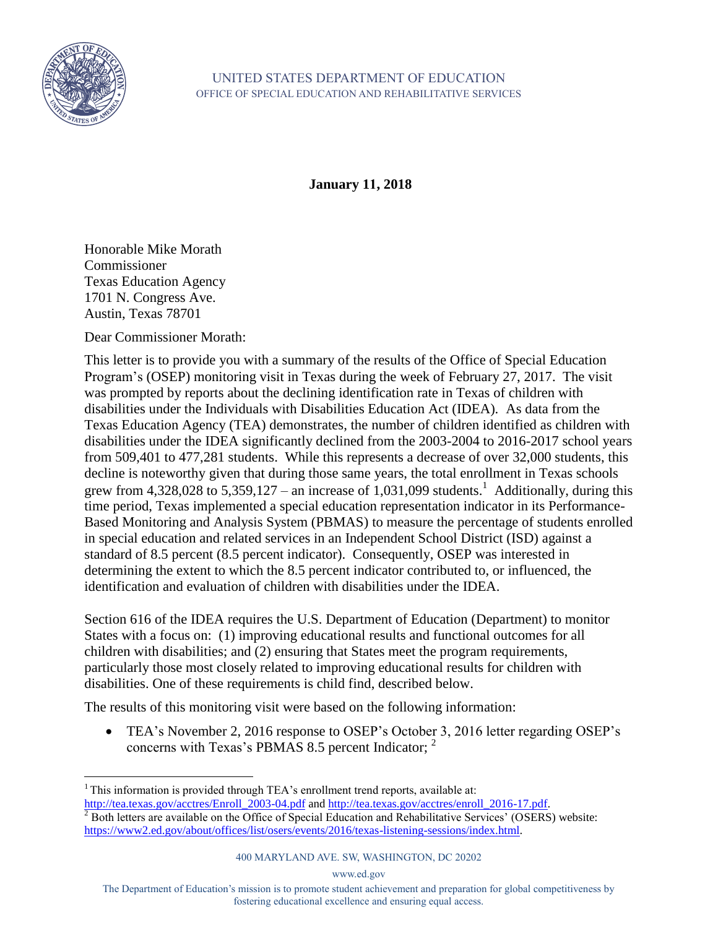

**January 11, 2018** 

Honorable Mike Morath Commissioner Texas Education Agency 1701 N. Congress Ave. Austin, Texas 78701

Dear Commissioner Morath:

This letter is to provide you with a summary of the results of the Office of Special Education Program's (OSEP) monitoring visit in Texas during the week of February 27, 2017. The visit was prompted by reports about the declining identification rate in Texas of children with disabilities under the Individuals with Disabilities Education Act (IDEA). As data from the Texas Education Agency (TEA) demonstrates, the number of children identified as children with disabilities under the IDEA significantly declined from the 2003-2004 to 2016-2017 school years from 509,401 to 477,281 students. While this represents a decrease of over 32,000 students, this decline is noteworthy given that during those same years, the total enrollment in Texas schools grew from 4,328,028 to 5,359,127 – an increase of 1,031,099 students.<sup>1</sup> Additionally, during this time period, Texas implemented a special education representation indicator in its Performance-Based Monitoring and Analysis System (PBMAS) to measure the percentage of students enrolled in special education and related services in an Independent School District (ISD) against a standard of 8.5 percent (8.5 percent indicator). Consequently, OSEP was interested in determining the extent to which the 8.5 percent indicator contributed to, or influenced, the identification and evaluation of children with disabilities under the IDEA.

Section 616 of the IDEA requires the U.S. Department of Education (Department) to monitor States with a focus on: (1) improving educational results and functional outcomes for all children with disabilities; and (2) ensuring that States meet the program requirements, particularly those most closely related to improving educational results for children with disabilities. One of these requirements is child find, described below.

The results of this monitoring visit were based on the following information:

 TEA's November 2, 2016 response to OSEP's October 3, 2016 letter regarding OSEP's concerns with Texas's PBMAS 8.5 percent Indicator;  $2^2$ 

## 400 MARYLAND AVE. SW, WASHINGTON, DC 20202

www.ed.gov

The Department of Education's mission is to promote student achievement and preparation for global competitiveness by fostering educational excellence and ensuring equal access.

<sup>&</sup>lt;sup>1</sup> This information is provided through TEA's enrollment trend reports, available at: [http://tea.texas.gov/acctres/Enroll\\_2003-04.pdf](http://tea.texas.gov/acctres/Enroll_2003-04.pdf) and [http://tea.texas.gov/acctres/enroll\\_2016-17.pdf.](http://tea.texas.gov/acctres/enroll_2016-17.pdf)

<sup>&</sup>lt;sup>2</sup> Both letters are available on the Office of Special Education and Rehabilitative Services' (OSERS) website: [https://www2.ed.gov/about/offices/list/osers/events/2016/texas-listening-sessions/index.html.](https://www2.ed.gov/about/offices/list/osers/events/2016/texas-listening-sessions/index.html)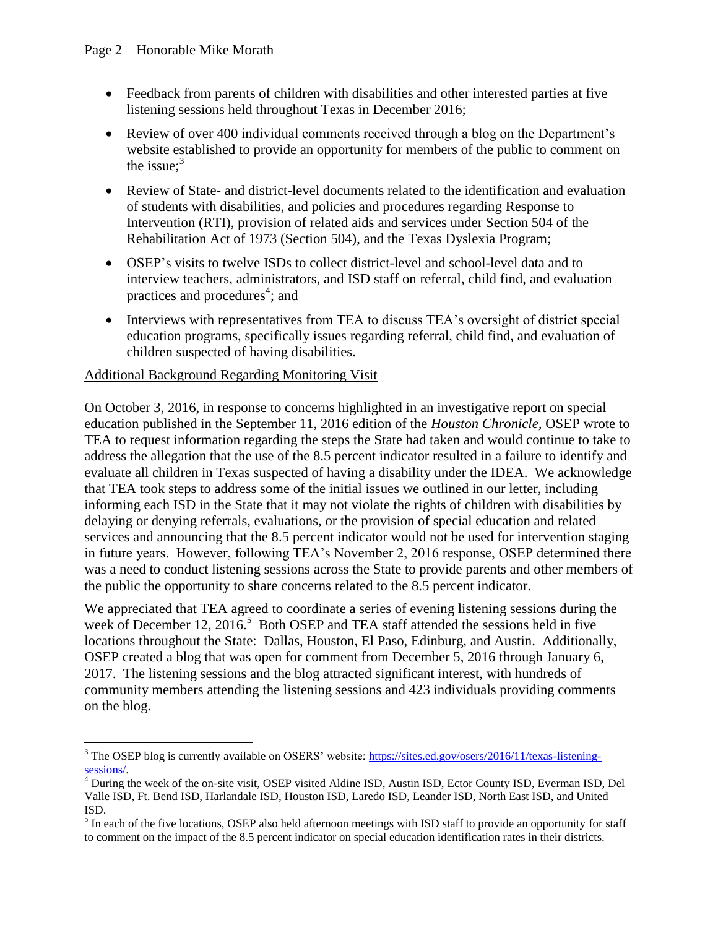- Feedback from parents of children with disabilities and other interested parties at five listening sessions held throughout Texas in December 2016;
- Review of over 400 individual comments received through a blog on the Department's website established to provide an opportunity for members of the public to comment on the issue;<sup>3</sup>
- Review of State- and district-level documents related to the identification and evaluation of students with disabilities, and policies and procedures regarding Response to Intervention (RTI), provision of related aids and services under Section 504 of the Rehabilitation Act of 1973 (Section 504), and the Texas Dyslexia Program;
- OSEP's visits to twelve ISDs to collect district-level and school-level data and to interview teachers, administrators, and ISD staff on referral, child find, and evaluation practices and procedures<sup>4</sup>; and
- Interviews with representatives from TEA to discuss TEA's oversight of district special education programs, specifically issues regarding referral, child find, and evaluation of children suspected of having disabilities.

## Additional Background Regarding Monitoring Visit

 $\overline{a}$ 

On October 3, 2016, in response to concerns highlighted in an investigative report on special education published in the September 11, 2016 edition of the *Houston Chronicle,* OSEP wrote to TEA to request information regarding the steps the State had taken and would continue to take to address the allegation that the use of the 8.5 percent indicator resulted in a failure to identify and evaluate all children in Texas suspected of having a disability under the IDEA. We acknowledge that TEA took steps to address some of the initial issues we outlined in our letter, including informing each ISD in the State that it may not violate the rights of children with disabilities by delaying or denying referrals, evaluations, or the provision of special education and related services and announcing that the 8.5 percent indicator would not be used for intervention staging in future years. However, following TEA's November 2, 2016 response, OSEP determined there was a need to conduct listening sessions across the State to provide parents and other members of the public the opportunity to share concerns related to the 8.5 percent indicator.

We appreciated that TEA agreed to coordinate a series of evening listening sessions during the week of December 12, 2016.<sup>5</sup> Both OSEP and TEA staff attended the sessions held in five locations throughout the State: Dallas, Houston, El Paso, Edinburg, and Austin. Additionally, OSEP created a blog that was open for comment from December 5, 2016 through January 6, 2017. The listening sessions and the blog attracted significant interest, with hundreds of community members attending the listening sessions and 423 individuals providing comments on the blog.

<sup>&</sup>lt;sup>3</sup> The OSEP blog is currently available on OSERS' website[: https://sites.ed.gov/osers/2016/11/texas-listening](https://sites.ed.gov/osers/2016/11/texas-listening-sessions/)[sessions/.](https://sites.ed.gov/osers/2016/11/texas-listening-sessions/)

<sup>4</sup> During the week of the on-site visit, OSEP visited Aldine ISD, Austin ISD, Ector County ISD, Everman ISD, Del Valle ISD, Ft. Bend ISD, Harlandale ISD, Houston ISD, Laredo ISD, Leander ISD, North East ISD, and United ISD.

<sup>&</sup>lt;sup>5</sup> In each of the five locations, OSEP also held afternoon meetings with ISD staff to provide an opportunity for staff to comment on the impact of the 8.5 percent indicator on special education identification rates in their districts.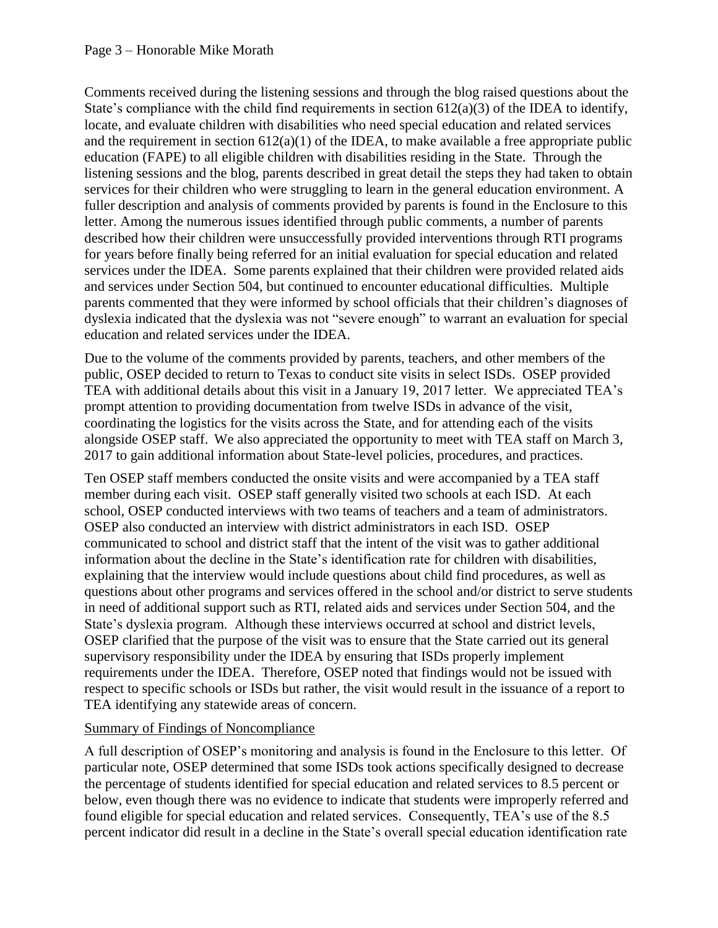Comments received during the listening sessions and through the blog raised questions about the State's compliance with the child find requirements in section  $612(a)(3)$  of the IDEA to identify, locate, and evaluate children with disabilities who need special education and related services and the requirement in section  $612(a)(1)$  of the IDEA, to make available a free appropriate public education (FAPE) to all eligible children with disabilities residing in the State. Through the listening sessions and the blog, parents described in great detail the steps they had taken to obtain services for their children who were struggling to learn in the general education environment. A fuller description and analysis of comments provided by parents is found in the Enclosure to this letter. Among the numerous issues identified through public comments, a number of parents described how their children were unsuccessfully provided interventions through RTI programs for years before finally being referred for an initial evaluation for special education and related services under the IDEA. Some parents explained that their children were provided related aids and services under Section 504, but continued to encounter educational difficulties. Multiple parents commented that they were informed by school officials that their children's diagnoses of dyslexia indicated that the dyslexia was not "severe enough" to warrant an evaluation for special education and related services under the IDEA.

Due to the volume of the comments provided by parents, teachers, and other members of the public, OSEP decided to return to Texas to conduct site visits in select ISDs. OSEP provided TEA with additional details about this visit in a January 19, 2017 letter. We appreciated TEA's prompt attention to providing documentation from twelve ISDs in advance of the visit, coordinating the logistics for the visits across the State, and for attending each of the visits alongside OSEP staff. We also appreciated the opportunity to meet with TEA staff on March 3, 2017 to gain additional information about State-level policies, procedures, and practices.

Ten OSEP staff members conducted the onsite visits and were accompanied by a TEA staff member during each visit. OSEP staff generally visited two schools at each ISD. At each school, OSEP conducted interviews with two teams of teachers and a team of administrators. OSEP also conducted an interview with district administrators in each ISD. OSEP communicated to school and district staff that the intent of the visit was to gather additional information about the decline in the State's identification rate for children with disabilities, explaining that the interview would include questions about child find procedures, as well as questions about other programs and services offered in the school and/or district to serve students in need of additional support such as RTI, related aids and services under Section 504, and the State's dyslexia program. Although these interviews occurred at school and district levels, OSEP clarified that the purpose of the visit was to ensure that the State carried out its general supervisory responsibility under the IDEA by ensuring that ISDs properly implement requirements under the IDEA. Therefore, OSEP noted that findings would not be issued with respect to specific schools or ISDs but rather, the visit would result in the issuance of a report to TEA identifying any statewide areas of concern.

## Summary of Findings of Noncompliance

A full description of OSEP's monitoring and analysis is found in the Enclosure to this letter. Of particular note, OSEP determined that some ISDs took actions specifically designed to decrease the percentage of students identified for special education and related services to 8.5 percent or below, even though there was no evidence to indicate that students were improperly referred and found eligible for special education and related services. Consequently, TEA's use of the 8.5 percent indicator did result in a decline in the State's overall special education identification rate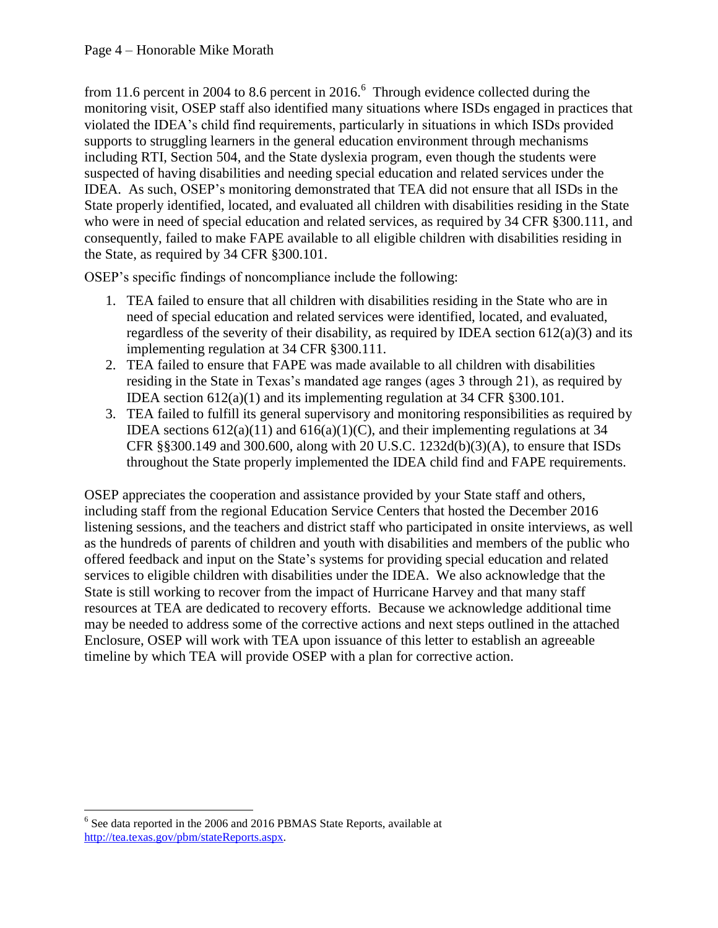from 11.6 percent in 2004 to 8.6 percent in 2016. $<sup>6</sup>$  Through evidence collected during the</sup> monitoring visit, OSEP staff also identified many situations where ISDs engaged in practices that violated the IDEA's child find requirements, particularly in situations in which ISDs provided supports to struggling learners in the general education environment through mechanisms including RTI, Section 504, and the State dyslexia program, even though the students were suspected of having disabilities and needing special education and related services under the IDEA. As such, OSEP's monitoring demonstrated that TEA did not ensure that all ISDs in the State properly identified, located, and evaluated all children with disabilities residing in the State who were in need of special education and related services, as required by 34 CFR §300.111, and consequently, failed to make FAPE available to all eligible children with disabilities residing in the State, as required by 34 CFR §300.101.

OSEP's specific findings of noncompliance include the following:

- 1. TEA failed to ensure that all children with disabilities residing in the State who are in need of special education and related services were identified, located, and evaluated, regardless of the severity of their disability, as required by IDEA section  $612(a)(3)$  and its implementing regulation at 34 CFR §300.111.
- 2. TEA failed to ensure that FAPE was made available to all children with disabilities residing in the State in Texas's mandated age ranges (ages 3 through 21), as required by IDEA section 612(a)(1) and its implementing regulation at 34 CFR §300.101.
- 3. TEA failed to fulfill its general supervisory and monitoring responsibilities as required by IDEA sections  $612(a)(11)$  and  $616(a)(1)(C)$ , and their implementing regulations at 34 CFR §§300.149 and 300.600, along with 20 U.S.C. 1232d(b)(3)(A), to ensure that ISDs throughout the State properly implemented the IDEA child find and FAPE requirements.

OSEP appreciates the cooperation and assistance provided by your State staff and others, including staff from the regional Education Service Centers that hosted the December 2016 listening sessions, and the teachers and district staff who participated in onsite interviews, as well as the hundreds of parents of children and youth with disabilities and members of the public who offered feedback and input on the State's systems for providing special education and related services to eligible children with disabilities under the IDEA. We also acknowledge that the State is still working to recover from the impact of Hurricane Harvey and that many staff resources at TEA are dedicated to recovery efforts. Because we acknowledge additional time may be needed to address some of the corrective actions and next steps outlined in the attached Enclosure, OSEP will work with TEA upon issuance of this letter to establish an agreeable timeline by which TEA will provide OSEP with a plan for corrective action.

 $\overline{a}$ <sup>6</sup> See data reported in the 2006 and 2016 PBMAS State Reports, available at [http://tea.texas.gov/pbm/stateReports.aspx.](http://tea.texas.gov/pbm/stateReports.aspx)